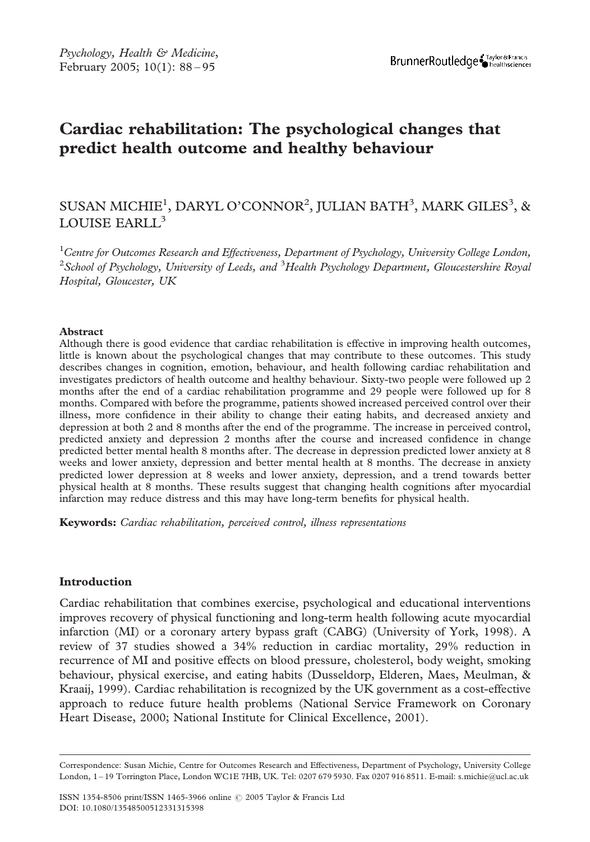# Cardiac rehabilitation: The psychological changes that predict health outcome and healthy behaviour

# SUSAN MICHIE<sup>1</sup>, DARYL O'CONNOR<sup>2</sup>, JULIAN BATH<sup>3</sup>, MARK GILES<sup>3</sup>, & LOUISE EARLL<sup>3</sup>

<sup>1</sup> Centre for Outcomes Research and Effectiveness, Department of Psychology, University College London,  $^2$ School of Psychology, University of Leeds, and  $^3$ Health Psychology Department, Gloucestershire Royal Hospital, Gloucester, UK

# Abstract

Although there is good evidence that cardiac rehabilitation is effective in improving health outcomes, little is known about the psychological changes that may contribute to these outcomes. This study describes changes in cognition, emotion, behaviour, and health following cardiac rehabilitation and investigates predictors of health outcome and healthy behaviour. Sixty-two people were followed up 2 months after the end of a cardiac rehabilitation programme and 29 people were followed up for 8 months. Compared with before the programme, patients showed increased perceived control over their illness, more confidence in their ability to change their eating habits, and decreased anxiety and depression at both 2 and 8 months after the end of the programme. The increase in perceived control, predicted anxiety and depression 2 months after the course and increased confidence in change predicted better mental health 8 months after. The decrease in depression predicted lower anxiety at 8 weeks and lower anxiety, depression and better mental health at 8 months. The decrease in anxiety predicted lower depression at 8 weeks and lower anxiety, depression, and a trend towards better physical health at 8 months. These results suggest that changing health cognitions after myocardial infarction may reduce distress and this may have long-term benefits for physical health.

Keywords: Cardiac rehabilitation, perceived control, illness representations

# Introduction

Cardiac rehabilitation that combines exercise, psychological and educational interventions improves recovery of physical functioning and long-term health following acute myocardial infarction (MI) or a coronary artery bypass graft (CABG) (University of York, 1998). A review of 37 studies showed a 34% reduction in cardiac mortality, 29% reduction in recurrence of MI and positive effects on blood pressure, cholesterol, body weight, smoking behaviour, physical exercise, and eating habits (Dusseldorp, Elderen, Maes, Meulman, & Kraaij, 1999). Cardiac rehabilitation is recognized by the UK government as a cost-effective approach to reduce future health problems (National Service Framework on Coronary Heart Disease, 2000; National Institute for Clinical Excellence, 2001).

Correspondence: Susan Michie, Centre for Outcomes Research and Effectiveness, Department of Psychology, University College London, 1 – 19 Torrington Place, London WC1E 7HB, UK. Tel: 0207 679 5930. Fax 0207 916 8511. E-mail: s.michie@ucl.ac.uk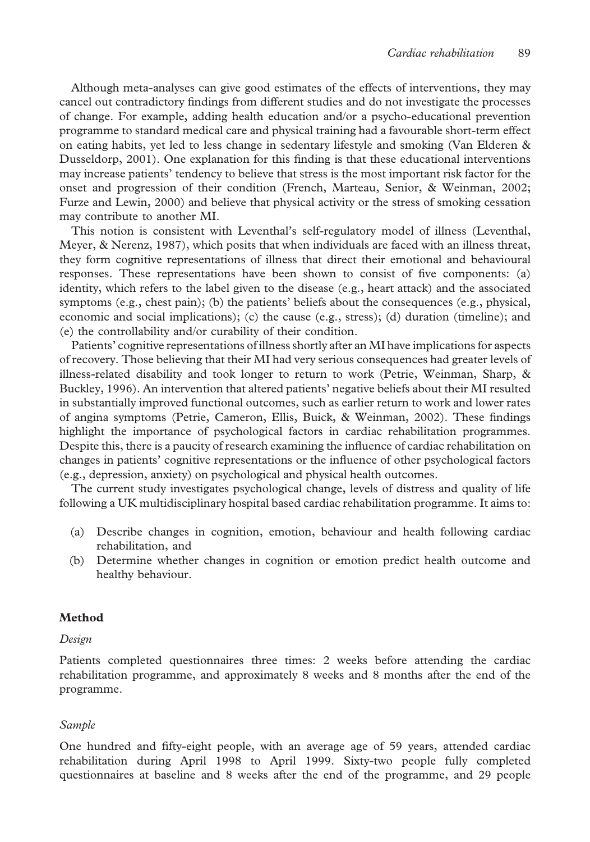Although meta-analyses can give good estimates of the effects of interventions, they may cancel out contradictory findings from different studies and do not investigate the processes of change. For example, adding health education and/or a psycho-educational prevention programme to standard medical care and physical training had a favourable short-term effect on eating habits, yet led to less change in sedentary lifestyle and smoking (Van Elderen & Dusseldorp, 2001). One explanation for this finding is that these educational interventions may increase patients' tendency to believe that stress is the most important risk factor for the onset and progression of their condition (French, Marteau, Senior, & Weinman, 2002; Furze and Lewin, 2000) and believe that physical activity or the stress of smoking cessation may contribute to another MI.

This notion is consistent with Leventhal's self-regulatory model of illness (Leventhal, Meyer, & Nerenz, 1987), which posits that when individuals are faced with an illness threat, they form cognitive representations of illness that direct their emotional and behavioural responses. These representations have been shown to consist of five components: (a) identity, which refers to the label given to the disease (e.g., heart attack) and the associated symptoms (e.g., chest pain); (b) the patients' beliefs about the consequences (e.g., physical, economic and social implications); (c) the cause (e.g., stress); (d) duration (timeline); and (e) the controllability and/or curability of their condition.

Patients' cognitive representations of illness shortly after an MI have implications for aspects of recovery. Those believing that their MI had very serious consequences had greater levels of illness-related disability and took longer to return to work (Petrie, Weinman, Sharp, & Buckley, 1996). An intervention that altered patients' negative beliefs about their MI resulted in substantially improved functional outcomes, such as earlier return to work and lower rates of angina symptoms (Petrie, Cameron, Ellis, Buick, & Weinman, 2002). These findings highlight the importance of psychological factors in cardiac rehabilitation programmes. Despite this, there is a paucity of research examining the influence of cardiac rehabilitation on changes in patients' cognitive representations or the influence of other psychological factors (e.g., depression, anxiety) on psychological and physical health outcomes.

The current study investigates psychological change, levels of distress and quality of life following a UK multidisciplinary hospital based cardiac rehabilitation programme. It aims to:

- (a) Describe changes in cognition, emotion, behaviour and health following cardiac rehabilitation, and
- (b) Determine whether changes in cognition or emotion predict health outcome and healthy behaviour.

# Method

### Design

Patients completed questionnaires three times: 2 weeks before attending the cardiac rehabilitation programme, and approximately 8 weeks and 8 months after the end of the programme.

### Sample

One hundred and fifty-eight people, with an average age of 59 years, attended cardiac rehabilitation during April 1998 to April 1999. Sixty-two people fully completed questionnaires at baseline and 8 weeks after the end of the programme, and 29 people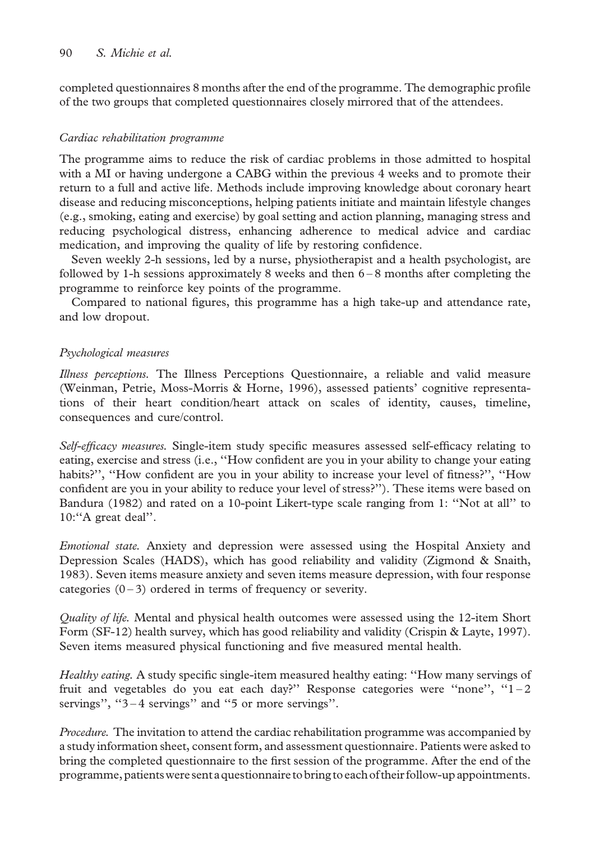completed questionnaires 8 months after the end of the programme. The demographic profile of the two groups that completed questionnaires closely mirrored that of the attendees.

# Cardiac rehabilitation programme

The programme aims to reduce the risk of cardiac problems in those admitted to hospital with a MI or having undergone a CABG within the previous 4 weeks and to promote their return to a full and active life. Methods include improving knowledge about coronary heart disease and reducing misconceptions, helping patients initiate and maintain lifestyle changes (e.g., smoking, eating and exercise) by goal setting and action planning, managing stress and reducing psychological distress, enhancing adherence to medical advice and cardiac medication, and improving the quality of life by restoring confidence.

Seven weekly 2-h sessions, led by a nurse, physiotherapist and a health psychologist, are followed by 1-h sessions approximately 8 weeks and then  $6-8$  months after completing the programme to reinforce key points of the programme.

Compared to national figures, this programme has a high take-up and attendance rate, and low dropout.

# Psychological measures

Illness perceptions. The Illness Perceptions Questionnaire, a reliable and valid measure (Weinman, Petrie, Moss-Morris & Horne, 1996), assessed patients' cognitive representations of their heart condition/heart attack on scales of identity, causes, timeline, consequences and cure/control.

Self-efficacy measures. Single-item study specific measures assessed self-efficacy relating to eating, exercise and stress (i.e., ''How confident are you in your ability to change your eating habits?", "How confident are you in your ability to increase your level of fitness?", "How confident are you in your ability to reduce your level of stress?''). These items were based on Bandura (1982) and rated on a 10-point Likert-type scale ranging from 1: ''Not at all'' to 10:"A great deal".

Emotional state. Anxiety and depression were assessed using the Hospital Anxiety and Depression Scales (HADS), which has good reliability and validity (Zigmond & Snaith, 1983). Seven items measure anxiety and seven items measure depression, with four response categories  $(0-3)$  ordered in terms of frequency or severity.

Quality of life. Mental and physical health outcomes were assessed using the 12-item Short Form (SF-12) health survey, which has good reliability and validity (Crispin & Layte, 1997). Seven items measured physical functioning and five measured mental health.

Healthy eating. A study specific single-item measured healthy eating: "How many servings of fruit and vegetables do you eat each day?" Response categories were "none", " $1-2$ servings", "3-4 servings" and "5 or more servings".

Procedure. The invitation to attend the cardiac rehabilitation programme was accompanied by a study information sheet, consent form, and assessment questionnaire. Patients were asked to bring the completed questionnaire to the first session of the programme. After the end of the programme, patients were sent a questionnaire to bring to each of their follow-up appointments.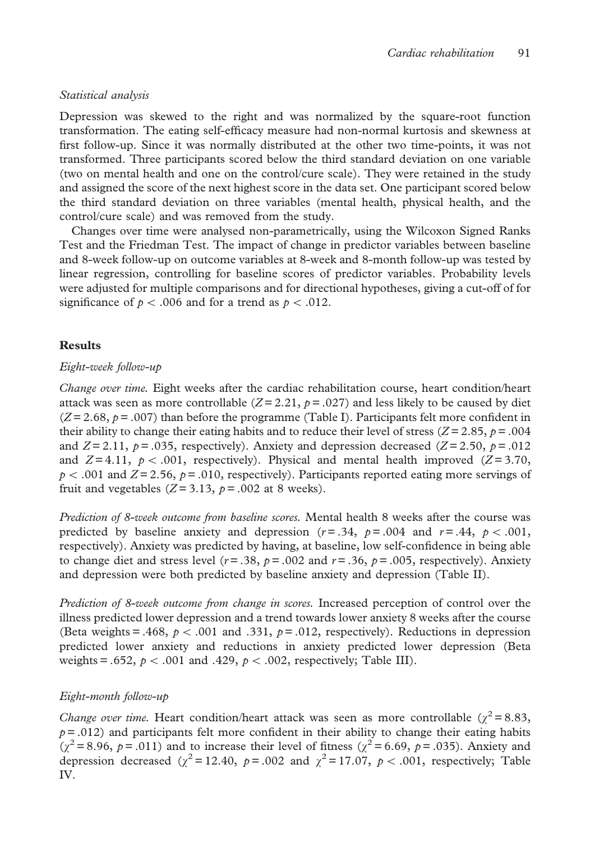### Statistical analysis

Depression was skewed to the right and was normalized by the square-root function transformation. The eating self-efficacy measure had non-normal kurtosis and skewness at first follow-up. Since it was normally distributed at the other two time-points, it was not transformed. Three participants scored below the third standard deviation on one variable (two on mental health and one on the control/cure scale). They were retained in the study and assigned the score of the next highest score in the data set. One participant scored below the third standard deviation on three variables (mental health, physical health, and the control/cure scale) and was removed from the study.

Changes over time were analysed non-parametrically, using the Wilcoxon Signed Ranks Test and the Friedman Test. The impact of change in predictor variables between baseline and 8-week follow-up on outcome variables at 8-week and 8-month follow-up was tested by linear regression, controlling for baseline scores of predictor variables. Probability levels were adjusted for multiple comparisons and for directional hypotheses, giving a cut-off of for significance of  $p < .006$  and for a trend as  $p < .012$ .

# **Results**

#### Eight-week follow-up

Change over time. Eight weeks after the cardiac rehabilitation course, heart condition/heart attack was seen as more controllable ( $Z=2.21$ ,  $p=.027$ ) and less likely to be caused by diet  $(Z= 2.68, p=.007)$  than before the programme (Table I). Participants felt more confident in their ability to change their eating habits and to reduce their level of stress ( $Z = 2.85$ ,  $p = .004$ ) and  $Z = 2.11$ ,  $p = .035$ , respectively). Anxiety and depression decreased ( $Z = 2.50$ ,  $p = .012$ and  $Z = 4.11$ ,  $p < .001$ , respectively). Physical and mental health improved (Z= 3.70,  $p < .001$  and  $Z = 2.56$ ,  $p = .010$ , respectively). Participants reported eating more servings of fruit and vegetables  $(Z=3.13, p=.002$  at 8 weeks).

Prediction of 8-week outcome from baseline scores. Mental health 8 weeks after the course was predicted by baseline anxiety and depression  $(r=.34, p=.004$  and  $r=.44, p<.001$ , respectively). Anxiety was predicted by having, at baseline, low self-confidence in being able to change diet and stress level ( $r = .38$ ,  $p = .002$  and  $r = .36$ ,  $p = .005$ , respectively). Anxiety and depression were both predicted by baseline anxiety and depression (Table II).

Prediction of 8-week outcome from change in scores. Increased perception of control over the illness predicted lower depression and a trend towards lower anxiety 8 weeks after the course (Beta weights = .468,  $p < .001$  and .331,  $p = .012$ , respectively). Reductions in depression predicted lower anxiety and reductions in anxiety predicted lower depression (Beta weights = .652,  $p < .001$  and .429,  $p < .002$ , respectively; Table III).

### Eight-month follow-up

Change over time. Heart condition/heart attack was seen as more controllable ( $\chi^2$  = 8.83,  $p = .012$ ) and participants felt more confident in their ability to change their eating habits  $(\chi^2 = 8.96, p = .011)$  and to increase their level of fitness  $(\chi^2 = 6.69, p = .035)$ . Anxiety and depression decreased ( $\chi^2$  = 12.40, p = .002 and  $\chi^2$  = 17.07, p < .001, respectively; Table IV.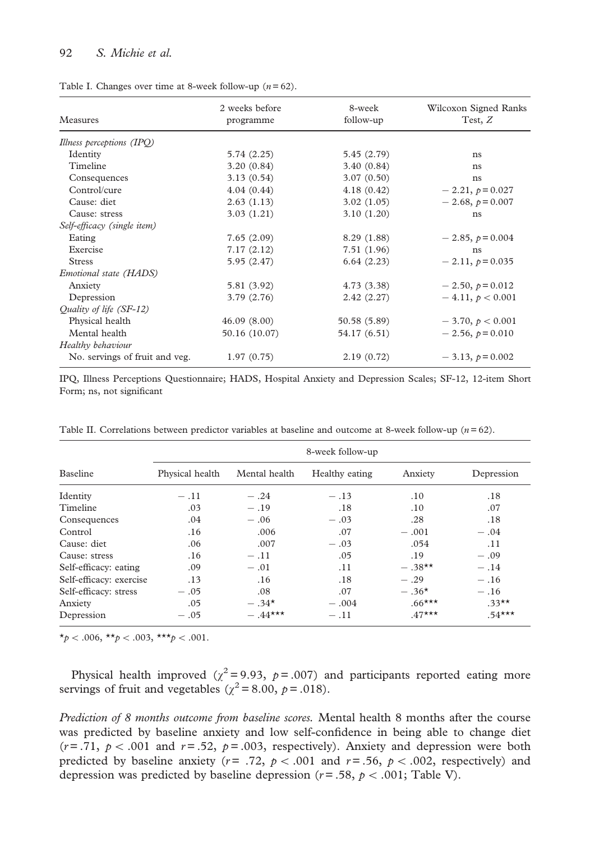#### 92 S. Michie et al.

| Measures                       | 2 weeks before<br>programme | 8-week<br>follow-up | Wilcoxon Signed Ranks<br>Test, $Z$ |
|--------------------------------|-----------------------------|---------------------|------------------------------------|
|                                |                             |                     |                                    |
| Illness perceptions (IPO)      |                             |                     |                                    |
| Identity                       | 5.74(2.25)                  | 5.45(2.79)          | ns                                 |
| Timeline                       | 3.20(0.84)                  | 3.40(0.84)          | ns                                 |
| Consequences                   | 3.13(0.54)                  | 3.07(0.50)          | ns                                 |
| Control/cure                   | 4.04(0.44)                  | 4.18(0.42)          | $-2.21, p=0.027$                   |
| Cause: diet                    | 2.63(1.13)                  | 3.02(1.05)          | $-2.68, p=0.007$                   |
| Cause: stress                  | 3.03(1.21)                  | 3.10(1.20)          | ns                                 |
| Self-efficacy (single item)    |                             |                     |                                    |
| Eating                         | 7.65(2.09)                  | 8.29 (1.88)         | $-2.85, p=0.004$                   |
| Exercise                       | 7.17(2.12)                  | 7.51(1.96)          | ns                                 |
| <b>Stress</b>                  | 5.95(2.47)                  | 6.64(2.23)          | $-2.11, p=0.035$                   |
| Emotional state (HADS)         |                             |                     |                                    |
| Anxiety                        | 5.81 (3.92)                 | 4.73(3.38)          | $-2.50, p=0.012$                   |
| Depression                     | 3.79(2.76)                  | 2.42(2.27)          | $-4.11, p < 0.001$                 |
| Quality of life (SF-12)        |                             |                     |                                    |
| Physical health                | 46.09(8.00)                 | 50.58 (5.89)        | $-3.70, p < 0.001$                 |
| Mental health                  | 50.16 (10.07)               | 54.17 (6.51)        | $-2.56, p=0.010$                   |
| Healthy behaviour              |                             |                     |                                    |
| No. servings of fruit and veg. | 1.97(0.75)                  | 2.19(0.72)          | $-3.13, p=0.002$                   |

#### Table I. Changes over time at 8-week follow-up  $(n=62)$ .

IPQ, Illness Perceptions Questionnaire; HADS, Hospital Anxiety and Depression Scales; SF-12, 12-item Short Form; ns, not significant

|                         | 8-week follow-up |               |                |          |            |  |  |  |  |  |
|-------------------------|------------------|---------------|----------------|----------|------------|--|--|--|--|--|
| <b>Baseline</b>         | Physical health  | Mental health | Healthy eating | Anxiety  | Depression |  |  |  |  |  |
| Identity                | $-.11$           | $-.24$        | $-.13$         | .10      | .18        |  |  |  |  |  |
| Timeline                | .03              | $-.19$        | .18            | .10      | .07        |  |  |  |  |  |
| Consequences            | .04              | $-.06$        | $-.03$         | .28      | .18        |  |  |  |  |  |
| Control                 | .16              | .006          | .07            | $-.001$  | $-.04$     |  |  |  |  |  |
| Cause: diet             | .06              | .007          | $-.03$         | .054     | .11        |  |  |  |  |  |
| Cause: stress           | .16              | $-.11$        | .05            | .19      | $-.09$     |  |  |  |  |  |
| Self-efficacy: eating   | .09              | $-.01$        | . 11           | $-.38**$ | $-.14$     |  |  |  |  |  |
| Self-efficacy: exercise | .13              | .16           | .18            | $-.29$   | $-.16$     |  |  |  |  |  |
| Self-efficacy: stress   | $-.05$           | .08           | .07            | $-.36*$  | $-.16$     |  |  |  |  |  |
| Anxiety                 | .05              | $-.34*$       | $-.004$        | $.66***$ | $.33***$   |  |  |  |  |  |
| Depression              | $-.05$           | $-.44***$     | $-.11$         | $.47***$ | $.54***$   |  |  |  |  |  |

Table II. Correlations between predictor variables at baseline and outcome at 8-week follow-up  $(n = 62)$ .

 $\star_p$  < .006,  $\star\star_p$  < .003,  $\star\star\star_p$  < .001.

Physical health improved ( $\chi^2$  = 9.93,  $p$  = .007) and participants reported eating more servings of fruit and vegetables ( $\chi^2$  = 8.00, p = .018).

Prediction of 8 months outcome from baseline scores. Mental health 8 months after the course was predicted by baseline anxiety and low self-confidence in being able to change diet  $(r = .71, p < .001$  and  $r = .52, p = .003$ , respectively). Anxiety and depression were both predicted by baseline anxiety ( $r = .72$ ,  $p < .001$  and  $r = .56$ ,  $p < .002$ , respectively) and depression was predicted by baseline depression ( $r = .58$ ,  $p < .001$ ; Table V).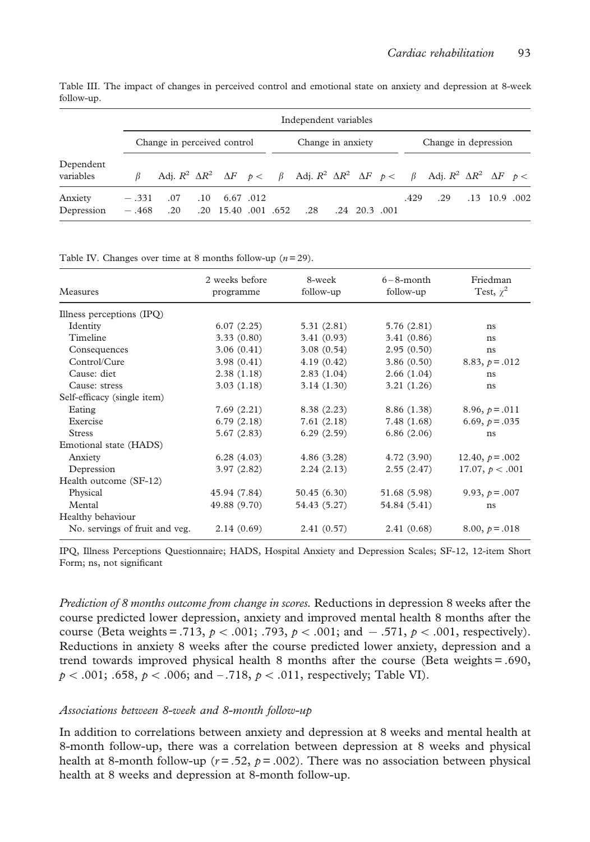|                                   |         | Independent variables       |  |                                                          |  |                   |                                                                                                                                           |  |                      |  |      |     |  |                 |  |
|-----------------------------------|---------|-----------------------------|--|----------------------------------------------------------|--|-------------------|-------------------------------------------------------------------------------------------------------------------------------------------|--|----------------------|--|------|-----|--|-----------------|--|
|                                   |         | Change in perceived control |  |                                                          |  | Change in anxiety |                                                                                                                                           |  | Change in depression |  |      |     |  |                 |  |
| Dependent<br>variables            | R       |                             |  |                                                          |  |                   | Adj. $R^2 \Delta R^2 \Delta F$ $\rho < \beta$ Adj. $R^2 \Delta R^2 \Delta F$ $\rho < \beta$ Adj. $R^2 \Delta R^2 \Delta F$ $\rho < \beta$ |  |                      |  |      |     |  |                 |  |
| Anxiety<br>Depression $-.468$ .20 | $-.331$ | .07                         |  | $.10 \quad 6.67 \quad .012$<br>.28. 652. 001. 15.40. 20. |  |                   |                                                                                                                                           |  | $.24$ 20.3 .001      |  | .429 | -29 |  | $.13$ 10.9 .002 |  |

Table III. The impact of changes in perceived control and emotional state on anxiety and depression at 8-week follow-up.

Table IV. Changes over time at 8 months follow-up  $(n=29)$ .

| Measures                       | 2 weeks before<br>programme | 8-week<br>follow-up | $6 - 8$ -month<br>follow-up | Friedman<br>Test, $\gamma^2$ |  |
|--------------------------------|-----------------------------|---------------------|-----------------------------|------------------------------|--|
| Illness perceptions (IPQ)      |                             |                     |                             |                              |  |
| Identity                       | 6.07(2.25)                  | 5.31(2.81)          | 5.76 (2.81)                 | ns                           |  |
| Timeline                       | 3.33(0.80)                  | 3.41(0.93)          | 3.41(0.86)                  | ns                           |  |
| Consequences                   | 3.06(0.41)                  | 3.08(0.54)          | 2.95(0.50)                  | ns                           |  |
| Control/Cure                   | 3.98(0.41)                  | 4.19(0.42)          | 3.86(0.50)                  | 8.83, $p = .012$             |  |
| Cause: diet                    | 2.38(1.18)                  | 2.83(1.04)          | 2.66(1.04)                  | ns                           |  |
| Cause: stress                  | 3.03(1.18)                  | 3.14(1.30)          | 3.21(1.26)                  | ns                           |  |
| Self-efficacy (single item)    |                             |                     |                             |                              |  |
| Eating                         | 7.69(2.21)                  | 8.38(2.23)          | 8.86 (1.38)                 | 8.96, $p = .011$             |  |
| Exercise                       | 6.79(2.18)                  | 7.61(2.18)          | 7.48(1.68)                  | 6.69, $p = .035$             |  |
| <b>Stress</b>                  | 5.67(2.83)                  | 6.29(2.59)          | 6.86(2.06)                  | ns                           |  |
| Emotional state (HADS)         |                             |                     |                             |                              |  |
| Anxiety                        | 6.28(4.03)                  | 4.86(3.28)          | 4.72(3.90)                  | 12.40, $p = .002$            |  |
| Depression                     | 3.97(2.82)                  | 2.24(2.13)          | 2.55(2.47)                  | 17.07, $p < .001$            |  |
| Health outcome (SF-12)         |                             |                     |                             |                              |  |
| Physical                       | 45.94 (7.84)                | 50.45(6.30)         | 51.68 (5.98)                | 9.93, $p = .007$             |  |
| Mental                         | 49.88 (9.70)                | 54.43 (5.27)        | 54.84 (5.41)                | ns                           |  |
| Healthy behaviour              |                             |                     |                             |                              |  |
| No. servings of fruit and veg. | 2.14(0.69)                  | 2.41(0.57)          | 2.41(0.68)                  | 8.00, $p = .018$             |  |

IPQ, Illness Perceptions Questionnaire; HADS, Hospital Anxiety and Depression Scales; SF-12, 12-item Short Form; ns, not significant

Prediction of 8 months outcome from change in scores. Reductions in depression 8 weeks after the course predicted lower depression, anxiety and improved mental health 8 months after the course (Beta weights = .713,  $p < .001$ ; .793,  $p < .001$ ; and  $-.571$ ,  $p < .001$ , respectively). Reductions in anxiety 8 weeks after the course predicted lower anxiety, depression and a trend towards improved physical health 8 months after the course (Beta weights = .690,  $p < .001$ ; .658,  $p < .006$ ; and  $-.718$ ,  $p < .011$ , respectively; Table VI).

# Associations between 8-week and 8-month follow-up

In addition to correlations between anxiety and depression at 8 weeks and mental health at 8-month follow-up, there was a correlation between depression at 8 weeks and physical health at 8-month follow-up ( $r = .52$ ,  $p = .002$ ). There was no association between physical health at 8 weeks and depression at 8-month follow-up.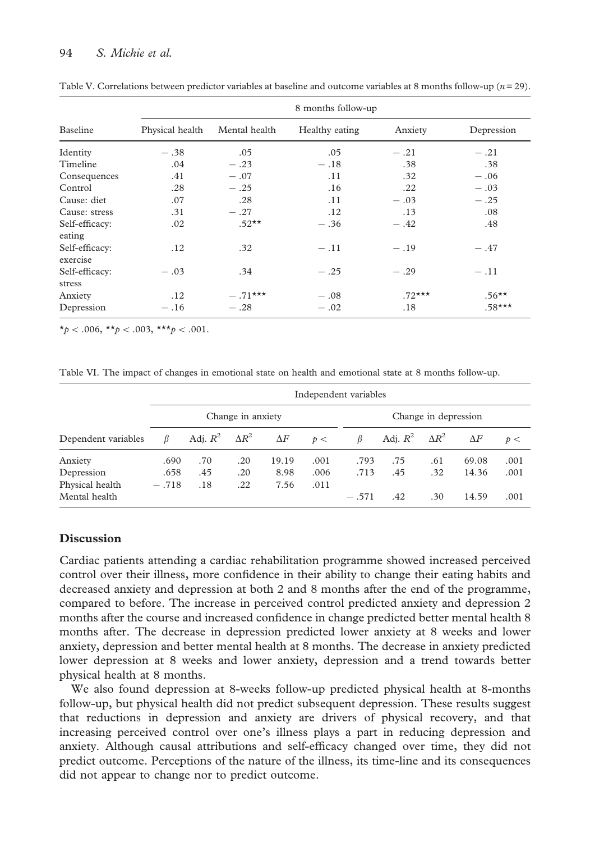|                            | 8 months follow-up |               |                |          |            |  |  |  |  |  |
|----------------------------|--------------------|---------------|----------------|----------|------------|--|--|--|--|--|
| Baseline                   | Physical health    | Mental health | Healthy eating | Anxiety  | Depression |  |  |  |  |  |
| Identity                   | $-.38$             | .05           | .05            | $-.21$   | $-.21$     |  |  |  |  |  |
| Timeline                   | .04                | $-.23$        | $-.18$         | .38      | .38        |  |  |  |  |  |
| Consequences               | .41                | $-.07$        | .11            | .32      | $-.06$     |  |  |  |  |  |
| Control                    | .28                | $-.25$        | .16            | .22      | $-.03$     |  |  |  |  |  |
| Cause: diet                | .07                | .28           | .11            | $-.03$   | $-.25$     |  |  |  |  |  |
| Cause: stress              | .31                | $-.27$        | .12            | .13      | .08        |  |  |  |  |  |
| Self-efficacy:<br>eating   | .02                | $.52**$       | $-.36$         | $-.42$   | .48        |  |  |  |  |  |
| Self-efficacy:<br>exercise | .12                | .32           | $-.11$         | $-.19$   | $-.47$     |  |  |  |  |  |
| Self-efficacy:<br>stress   | $-.03$             | .34           | $-.25$         | $-.29$   | $-.11$     |  |  |  |  |  |
| Anxiety                    | .12                | $-.71***$     | $-.08$         | $.72***$ | $.56***$   |  |  |  |  |  |
| Depression                 | $-.16$             | $-.28$        | $-.02$         | .18      | $.58***$   |  |  |  |  |  |

Table V. Correlations between predictor variables at baseline and outcome variables at 8 months follow-up ( $n=29$ ).

 $*_p$  < .006,  $**_p$  < .003,  $***_p$  < .001.

Table VI. The impact of changes in emotional state on health and emotional state at 8 months follow-up.

|                     | Independent variables |                         |     |            |                      |         |            |              |            |      |
|---------------------|-----------------------|-------------------------|-----|------------|----------------------|---------|------------|--------------|------------|------|
|                     | Change in anxiety     |                         |     |            | Change in depression |         |            |              |            |      |
| Dependent variables | B                     | Adj. $R^2$ $\Delta R^2$ |     | $\Delta F$ | p <                  | $\beta$ | Adj. $R^2$ | $\Delta R^2$ | $\Delta F$ | p <  |
| Anxiety             | .690                  | .70                     | .20 | 19.19      | .001                 | .793    | .75        | .61          | 69.08      | .001 |
| Depression          | .658                  | .45                     | .20 | 8.98       | .006                 | .713    | .45        | .32          | 14.36      | .001 |
| Physical health     | $-.718$               | .18                     | .22 | 7.56       | .011                 |         |            |              |            |      |
| Mental health       |                       |                         |     |            |                      | $-.571$ | .42        | .30          | 14.59      | .001 |

#### **Discussion**

Cardiac patients attending a cardiac rehabilitation programme showed increased perceived control over their illness, more confidence in their ability to change their eating habits and decreased anxiety and depression at both 2 and 8 months after the end of the programme, compared to before. The increase in perceived control predicted anxiety and depression 2 months after the course and increased confidence in change predicted better mental health 8 months after. The decrease in depression predicted lower anxiety at 8 weeks and lower anxiety, depression and better mental health at 8 months. The decrease in anxiety predicted lower depression at 8 weeks and lower anxiety, depression and a trend towards better physical health at 8 months.

We also found depression at 8-weeks follow-up predicted physical health at 8-months follow-up, but physical health did not predict subsequent depression. These results suggest that reductions in depression and anxiety are drivers of physical recovery, and that increasing perceived control over one's illness plays a part in reducing depression and anxiety. Although causal attributions and self-efficacy changed over time, they did not predict outcome. Perceptions of the nature of the illness, its time-line and its consequences did not appear to change nor to predict outcome.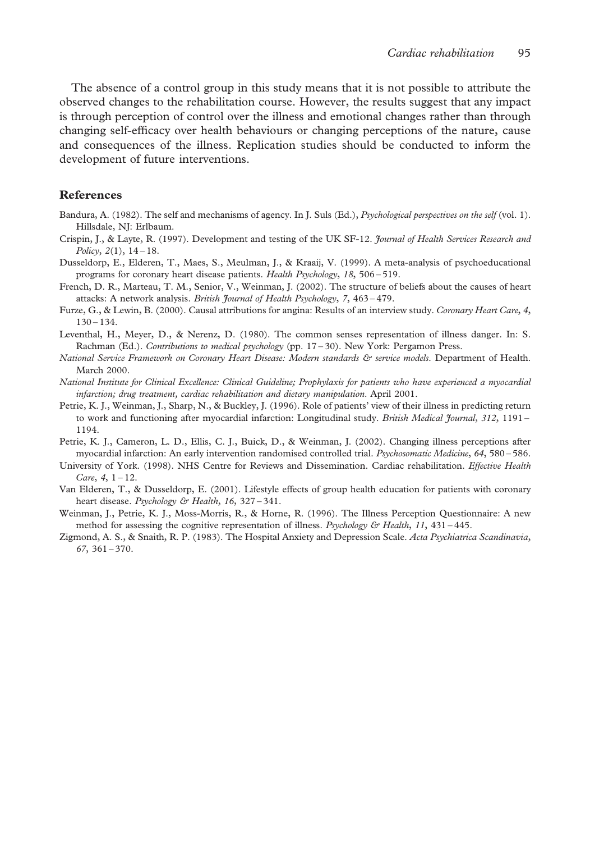The absence of a control group in this study means that it is not possible to attribute the observed changes to the rehabilitation course. However, the results suggest that any impact is through perception of control over the illness and emotional changes rather than through changing self-efficacy over health behaviours or changing perceptions of the nature, cause and consequences of the illness. Replication studies should be conducted to inform the development of future interventions.

#### References

- Bandura, A. (1982). The self and mechanisms of agency. In J. Suls (Ed.), Psychological perspectives on the self (vol. 1). Hillsdale, NJ: Erlbaum.
- Crispin, J., & Layte, R. (1997). Development and testing of the UK SF-12. Journal of Health Services Research and Policy, 2(1), 14-18.
- Dusseldorp, E., Elderen, T., Maes, S., Meulman, J., & Kraaij, V. (1999). A meta-analysis of psychoeducational programs for coronary heart disease patients. Health Psychology, 18, 506 – 519.
- French, D. R., Marteau, T. M., Senior, V., Weinman, J. (2002). The structure of beliefs about the causes of heart attacks: A network analysis. British Journal of Health Psychology, 7, 463 – 479.
- Furze, G., & Lewin, B. (2000). Causal attributions for angina: Results of an interview study. Coronary Heart Care, 4,  $130 - 134.$
- Leventhal, H., Meyer, D., & Nerenz, D. (1980). The common senses representation of illness danger. In: S. Rachman (Ed.). Contributions to medical psychology (pp. 17 – 30). New York: Pergamon Press.
- National Service Framework on Coronary Heart Disease: Modern standards & service models. Department of Health. March 2000.
- National Institute for Clinical Excellence: Clinical Guideline; Prophylaxis for patients who have experienced a myocardial infarction; drug treatment, cardiac rehabilitation and dietary manipulation. April 2001.
- Petrie, K. J., Weinman, J., Sharp, N., & Buckley, J. (1996). Role of patients' view of their illness in predicting return to work and functioning after myocardial infarction: Longitudinal study. British Medical Journal, 312, 1191 – 1194.
- Petrie, K. J., Cameron, L. D., Ellis, C. J., Buick, D., & Weinman, J. (2002). Changing illness perceptions after myocardial infarction: An early intervention randomised controlled trial. Psychosomatic Medicine, 64, 580 – 586.
- University of York. (1998). NHS Centre for Reviews and Dissemination. Cardiac rehabilitation. Effective Health Care,  $4, 1 - 12.$
- Van Elderen, T., & Dusseldorp, E. (2001). Lifestyle effects of group health education for patients with coronary heart disease. Psychology & Health, 16, 327-341.
- Weinman, J., Petrie, K. J., Moss-Morris, R., & Horne, R. (1996). The Illness Perception Questionnaire: A new method for assessing the cognitive representation of illness. Psychology & Health, 11, 431–445.
- Zigmond, A. S., & Snaith, R. P. (1983). The Hospital Anxiety and Depression Scale. Acta Psychiatrica Scandinavia, 67, 361 – 370.